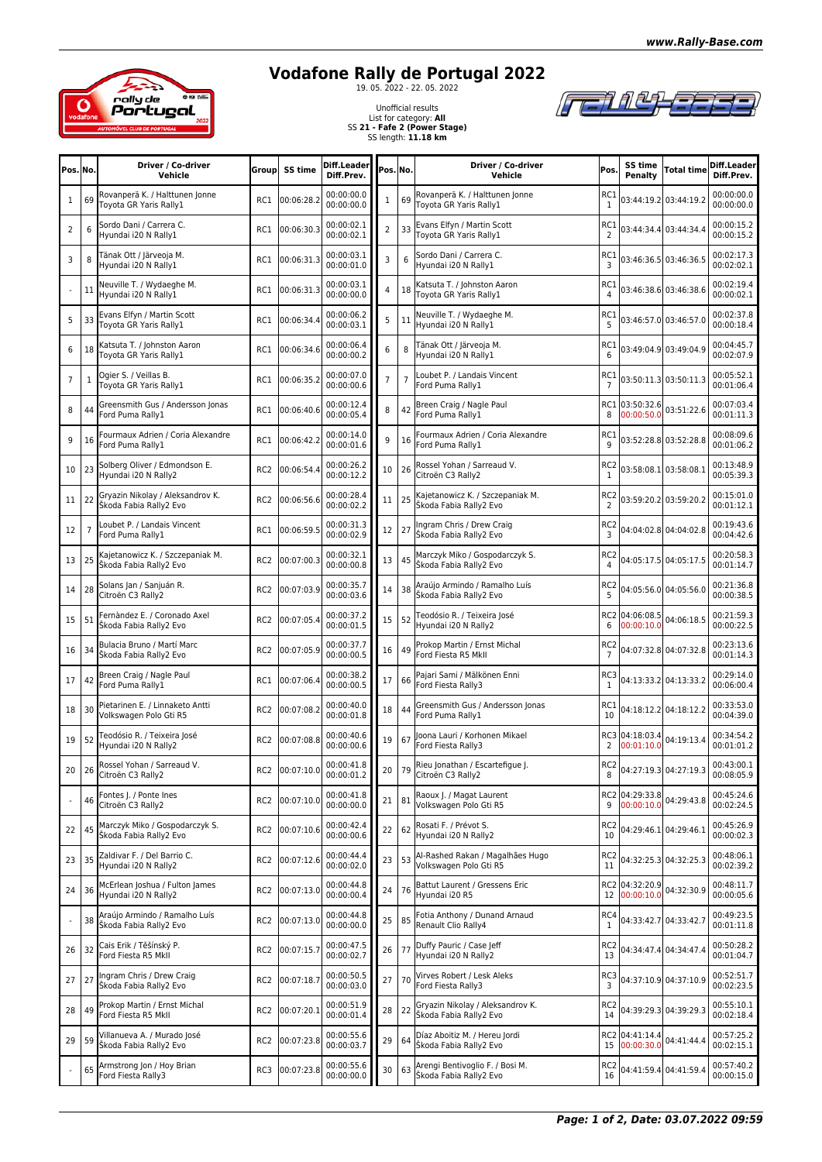

## **Vodafone Rally de Portugal 2022**

FEN ALLEE 73

Unofficial results List for category: **All** SS **21 - Fafe 2 (Power Stage)** SS length: **11.18 km**

| Pos. No.       |                | Driver / Co-driver<br>Vehicle                              | <b>Group</b>    | SS time    | Diff.Leader<br>Diff.Prev. | Pos. No.       |                | Driver / Co-driver<br>Vehicle                              | Pos.                              | SS time<br>Penalty           | Total time            | Diff.Leader<br>Diff.Prev. |
|----------------|----------------|------------------------------------------------------------|-----------------|------------|---------------------------|----------------|----------------|------------------------------------------------------------|-----------------------------------|------------------------------|-----------------------|---------------------------|
| $\mathbf{1}$   | 69             | Rovanperä K. / Halttunen Jonne<br>Toyota GR Yaris Rally1   | RC1             | 00:06:28.2 | 00:00:00.0<br>00:00:00.0  | 1              | 69             | Rovanperä K. / Halttunen Jonne<br>Toyota GR Yaris Rally1   | RC1<br>1                          |                              | 03:44:19.2 03:44:19.2 | 00:00:00.0<br>00:00:00.0  |
| $\overline{2}$ | 6              | Sordo Dani / Carrera C.<br>Hyundai i20 N Rally1            | RC1             | 00:06:30.3 | 00:00:02.1<br>00:00:02.1  | $\overline{2}$ | 33             | Evans Elfyn / Martin Scott<br>Toyota GR Yaris Rally1       | RC1<br>2                          |                              | 03:44:34.4 03:44:34.4 | 00:00:15.2<br>00:00:15.2  |
| 3              | 8              | Tänak Ott / Järveoja M.<br>Hyundai i20 N Rally1            | RC1             | 00:06:31.3 | 00:00:03.1<br>00:00:01.0  | 3              | 6              | Sordo Dani / Carrera C.<br>Hyundai i20 N Rally1            | RC1<br>3                          |                              | 03:46:36.5 03:46:36.5 | 00:02:17.3<br>00:02:02.1  |
|                | 11             | Neuville T. / Wydaeghe M.<br>Hyundai i20 N Rally1          | RC1             | 00:06:31.3 | 00:00:03.1<br>00:00:00.0  | 4              | 18             | Katsuta T. / Johnston Aaron<br>Toyota GR Yaris Rally1      | RC1<br>4                          |                              | 03:46:38.6 03:46:38.6 | 00:02:19.4<br>00:00:02.1  |
| 5              | 33             | Evans Elfyn / Martin Scott<br>Toyota GR Yaris Rally1       | RC1             | 00:06:34.4 | 00:00:06.2<br>00:00:03.1  | 5              | 11             | Neuville T. / Wydaeghe M.<br>Hyundai i20 N Rally1          | RC1<br>5                          |                              | 03:46:57.0 03:46:57.0 | 00:02:37.8<br>00:00:18.4  |
| 6              | 18             | Katsuta T. / Johnston Aaron<br>Toyota GR Yaris Rally1      | RC1             | 00:06:34.6 | 00:00:06.4<br>00:00:00.2  | 6              | 8              | Tänak Ott / Järveoja M.<br>Hyundai i20 N Rally1            | RC1<br>6                          |                              | 03:49:04.9 03:49:04.9 | 00:04:45.7<br>00:02:07.9  |
| $\overline{7}$ | $\mathbf{1}$   | Ogier S. / Veillas B.<br>Toyota GR Yaris Rally1            | RC1             | 00:06:35.2 | 00:00:07.0<br>00:00:00.6  | $\overline{7}$ | $\overline{7}$ | Loubet P. / Landais Vincent<br>Ford Puma Rally1            | RC1<br>$\overline{7}$             |                              | 03:50:11.3 03:50:11.3 | 00:05:52.1<br>00:01:06.4  |
| 8              | 44             | Greensmith Gus / Andersson Jonas<br>Ford Puma Rally1       | RC1             | 00:06:40.6 | 00:00:12.4<br>00:00:05.4  | 8              | 42             | Breen Craig / Nagle Paul<br>Ford Puma Rally1               | 8                                 | RC1 03:50:32.6<br>00:00:50.0 | 03:51:22.6            | 00:07:03.4<br>00:01:11.3  |
| 9              | 16             | Fourmaux Adrien / Coria Alexandre<br>Ford Puma Rally1      | RC1             | 00:06:42.2 | 00:00:14.0<br>00:00:01.6  | 9              | 16             | Fourmaux Adrien / Coria Alexandre<br>Ford Puma Rally1      | RC1<br>9                          |                              | 03:52:28.8 03:52:28.8 | 00:08:09.6<br>00:01:06.2  |
| 10             | 23             | Solberg Oliver / Edmondson E.<br>Hyundai i20 N Rally2      | RC <sub>2</sub> | 00:06:54.4 | 00:00:26.2<br>00:00:12.2  | 10             | 26             | Rossel Yohan / Sarreaud V.<br>Citroën C3 Rally2            | RC <sub>2</sub><br>1              |                              | 03:58:08.1 03:58:08.1 | 00:13:48.9<br>00:05:39.3  |
| 11             | 22             | Gryazin Nikolay / Aleksandrov K.<br>Škoda Fabia Rally2 Evo | RC <sub>2</sub> | 00:06:56.6 | 00:00:28.4<br>00:00:02.2  | 11             | 25             | Kajetanowicz K. / Szczepaniak M.<br>Škoda Fabia Rally2 Evo | RC <sub>2</sub><br>2              |                              | 03:59:20.2 03:59:20.2 | 00:15:01.0<br>00:01:12.1  |
| 12             | $\overline{7}$ | Loubet P. / Landais Vincent<br>Ford Puma Rally1            | RC1             | 00:06:59.5 | 00:00:31.3<br>00:00:02.9  | 12             | 27             | Ingram Chris / Drew Craig<br>Škoda Fabia Rally2 Evo        | RC <sub>2</sub><br>3              |                              | 04:04:02.8 04:04:02.8 | 00:19:43.6<br>00:04:42.6  |
| 13             | 25             | Kajetanowicz K. / Szczepaniak M.<br>Škoda Fabia Rally2 Evo | RC <sub>2</sub> | 00:07:00.3 | 00:00:32.1<br>00:00:00.8  | 13             | 45             | Marczyk Miko / Gospodarczyk S.<br>Škoda Fabia Rally2 Evo   | RC <sub>2</sub>                   |                              | 04:05:17.5 04:05:17.5 | 00:20:58.3<br>00:01:14.7  |
| 14             | 28             | Solans Jan / Sanjuán R.<br>Citroën C3 Rally2               | RC <sub>2</sub> | 00:07:03.9 | 00:00:35.7<br>00:00:03.6  | 14             | 38             | Araújo Armindo / Ramalho Luís<br>Škoda Fabia Rally2 Evo    | RC <sub>2</sub><br>5              |                              | 04:05:56.0 04:05:56.0 | 00:21:36.8<br>00:00:38.5  |
| 15             | 51             | Fernàndez E. / Coronado Axel<br>Škoda Fabia Rally2 Evo     | RC <sub>2</sub> | 00:07:05.4 | 00:00:37.2<br>00:00:01.5  | 15             | 52             | Teodósio R. / Teixeira José<br>Hyundai i20 N Rally2        | RC2<br>6                          | 04:06:08.5<br>00:00:10.0     | 04:06:18.5            | 00:21:59.3<br>00:00:22.5  |
| 16             | 34             | Bulacia Bruno / Martí Marc<br>Škoda Fabia Rally2 Evo       | RC <sub>2</sub> | 00:07:05.9 | 00:00:37.7<br>00:00:00.5  | 16             | 49             | Prokop Martin / Ernst Michal<br>Ford Fiesta R5 MkII        | RC <sub>2</sub><br>$\overline{7}$ |                              | 04:07:32.8 04:07:32.8 | 00:23:13.6<br>00:01:14.3  |
| 17             | 42             | Breen Craig / Nagle Paul<br>Ford Puma Rally1               | RC1             | 00:07:06.4 | 00:00:38.2<br>00:00:00.5  | 17             | 66             | Pajari Sami / Mälkönen Enni<br>Ford Fiesta Rally3          | RC3<br>1                          |                              | 04:13:33.2 04:13:33.2 | 00:29:14.0<br>00:06:00.4  |
| 18             | 30             | Pietarinen E. / Linnaketo Antti<br>Volkswagen Polo Gti R5  | RC <sub>2</sub> | 00:07:08.2 | 00:00:40.0<br>00:00:01.8  | 18             | 44             | Greensmith Gus / Andersson Jonas<br>Ford Puma Rally1       | RC1<br>10                         |                              | 04:18:12.2 04:18:12.2 | 00:33:53.0<br>00:04:39.0  |
| 19             | 52             | Teodósio R. / Teixeira José<br>Hyundai i20 N Rally2        | RC <sub>2</sub> | 00:07:08.8 | 00:00:40.6<br>00:00:00.6  | 19             | 67             | Joona Lauri / Korhonen Mikael<br>Ford Fiesta Rally3        | 2                                 | RC3 04:18:03.4<br>00:01:10.0 | 04:19:13.4            | 00:34:54.2<br>00:01:01.2  |
| 20             | 26             | Rossel Yohan / Sarreaud V.<br>Citroën C3 Rally2            | RC2             | 00:07:10.0 | 00:00:41.8<br>00:00:01.2  | 20             | 79             | Rieu Jonathan / Escartefigue J.<br>Citroën C3 Rally2       | RC <sub>2</sub><br>8              |                              | 04:27:19.3 04:27:19.3 | 00:43:00.1<br>00:08:05.9  |
|                | 46             | Fontes J. / Ponte Ines<br>Citroën C3 Rally2                | RC <sub>2</sub> | 00:07:10.0 | 00:00:41.8<br>00:00:00.0  | 21             | 81             | Raoux J. / Magat Laurent<br>Volkswagen Polo Gti R5         | 9                                 | RC2 04:29:33.8<br>00:00:10.0 | 04:29:43.8            | 00:45:24.6<br>00:02:24.5  |
| 22             | 45             | Marczyk Miko / Gospodarczyk S.<br>Škoda Fabia Rally2 Evo   | RC <sub>2</sub> | 00:07:10.6 | 00:00:42.4<br>00:00:00.6  | 22             | 62             | Rosati F. / Prévot S.<br>Hyundai i20 N Rally2              | RC <sub>2</sub><br>10             |                              | 04:29:46.1 04:29:46.1 | 00:45:26.9<br>00:00:02.3  |
| 23             | 35             | Zaldivar F. / Del Barrio C.<br>Hyundai i20 N Rally2        | RC <sub>2</sub> | 00:07:12.6 | 00:00:44.4<br>00:00:02.0  | 23             | 53             | Al-Rashed Rakan / Magalhães Hugo<br>Volkswagen Polo Gti R5 | RC <sub>2</sub><br>11             |                              | 04:32:25.3 04:32:25.3 | 00:48:06.1<br>00:02:39.2  |
| 24             | 36             | McErlean Joshua / Fulton James<br>Hyundai i20 N Rally2     | RC <sub>2</sub> | 00:07:13.0 | 00:00:44.8<br>00:00:00.4  | 24             | 76             | Battut Laurent / Gressens Eric<br>Hyundai i20 R5           | 12                                | RC2 04:32:20.9<br>00:00:10.0 | 04:32:30.9            | 00:48:11.7<br>00:00:05.6  |
|                | 38             | Araújo Armindo / Ramalho Luís<br>Škoda Fabia Rally2 Evo    | RC <sub>2</sub> | 00:07:13.0 | 00:00:44.8<br>00:00:00.0  | 25             | 85             | Fotia Anthony / Dunand Arnaud<br>Renault Clio Rally4       | RC4<br>1                          |                              | 04:33:42.7 04:33:42.7 | 00:49:23.5<br>00:01:11.8  |
| 26             | 32             | Cais Erik / Těšínský P.<br>Ford Fiesta R5 Mkll             | RC <sub>2</sub> | 00:07:15.7 | 00:00:47.5<br>00:00:02.7  | 26             | 77             | Duffy Pauric / Case Jeff<br>Hyundai i20 N Rally2           | RC <sub>2</sub><br>13             |                              | 04:34:47.4 04:34:47.4 | 00:50:28.2<br>00:01:04.7  |
| 27             | 27             | Ingram Chris / Drew Craig<br>Škoda Fabia Rally2 Evo        | RC <sub>2</sub> | 00:07:18.7 | 00:00:50.5<br>00:00:03.0  | 27             | 70             | Virves Robert / Lesk Aleks<br>Ford Fiesta Rally3           | RC3<br>3                          |                              | 04:37:10.9 04:37:10.9 | 00:52:51.7<br>00:02:23.5  |
| 28             | 49             | Prokop Martin / Ernst Michal<br>Ford Fiesta R5 MkII        | RC <sub>2</sub> | 00:07:20.1 | 00:00:51.9<br>00:00:01.4  | 28             | 22             | Gryazin Nikolay / Aleksandrov K.<br>Škoda Fabia Rally2 Evo | RC2<br>14                         |                              | 04:39:29.3 04:39:29.3 | 00:55:10.1<br>00:02:18.4  |
| 29             | 59             | Villanueva A. / Murado José<br>Škoda Fabia Rally2 Evo      | RC <sub>2</sub> | 00:07:23.8 | 00:00:55.6<br>00:00:03.7  | 29             | 64             | Díaz Aboitiz M. / Hereu Jordi<br>Škoda Fabia Rally2 Evo    | 15                                | RC2 04:41:14.4<br>00:00:30.0 | 04:41:44.4            | 00:57:25.2<br>00:02:15.1  |
|                | 65             | Armstrong Jon / Hoy Brian<br>Ford Fiesta Rally3            | RC3             | 00:07:23.8 | 00:00:55.6<br>00:00:00.0  | 30             | 63             | Arengi Bentivoglio F. / Bosi M.<br>Škoda Fabia Rally2 Evo  | RC <sub>2</sub><br>16             |                              | 04:41:59.4 04:41:59.4 | 00:57:40.2<br>00:00:15.0  |